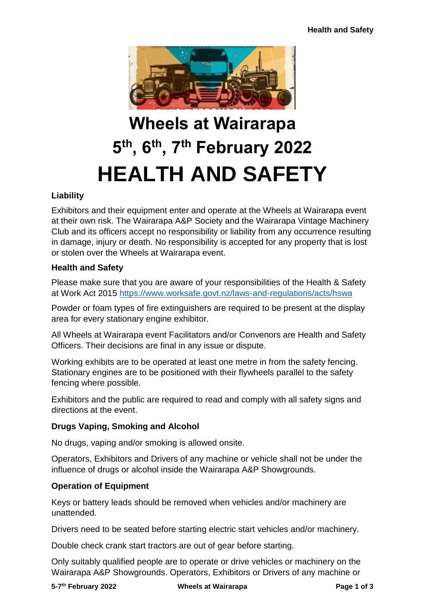

# **Wheels at Wairarapa 5 th, 6th, 7th February 2022 HEALTH AND SAFETY**

# **Liability**

Exhibitors and their equipment enter and operate at the Wheels at Wairarapa event at their own risk. The Wairarapa A&P Society and the Wairarapa Vintage Machinery Club and its officers accept no responsibility or liability from any occurrence resulting in damage, injury or death. No responsibility is accepted for any property that is lost or stolen over the Wheels at Wairarapa event.

## **Health and Safety**

Please make sure that you are aware of your responsibilities of the Health & Safety at Work Act 2015<https://www.worksafe.govt.nz/laws-and-regulations/acts/hswa>

Powder or foam types of fire extinguishers are required to be present at the display area for every stationary engine exhibitor.

All Wheels at Wairarapa event Facilitators and/or Convenors are Health and Safety Officers. Their decisions are final in any issue or dispute.

Working exhibits are to be operated at least one metre in from the safety fencing. Stationary engines are to be positioned with their flywheels parallel to the safety fencing where possible.

Exhibitors and the public are required to read and comply with all safety signs and directions at the event.

## **Drugs Vaping, Smoking and Alcohol**

No drugs, vaping and/or smoking is allowed onsite.

Operators, Exhibitors and Drivers of any machine or vehicle shall not be under the influence of drugs or alcohol inside the Wairarapa A&P Showgrounds.

# **Operation of Equipment**

Keys or battery leads should be removed when vehicles and/or machinery are unattended.

Drivers need to be seated before starting electric start vehicles and/or machinery.

Double check crank start tractors are out of gear before starting.

Only suitably qualified people are to operate or drive vehicles or machinery on the Wairarapa A&P Showgrounds. Operators, Exhibitors or Drivers of any machine or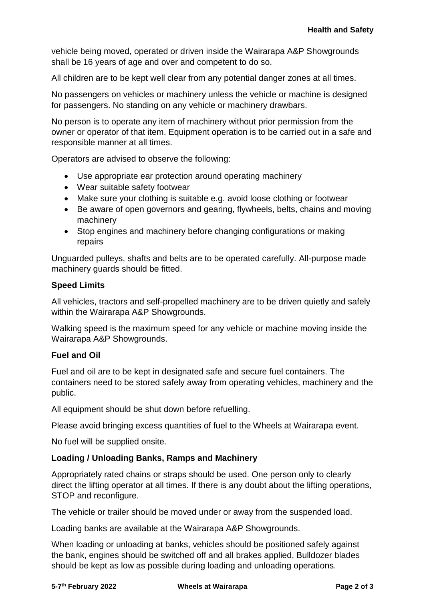vehicle being moved, operated or driven inside the Wairarapa A&P Showgrounds shall be 16 years of age and over and competent to do so.

All children are to be kept well clear from any potential danger zones at all times.

No passengers on vehicles or machinery unless the vehicle or machine is designed for passengers. No standing on any vehicle or machinery drawbars.

No person is to operate any item of machinery without prior permission from the owner or operator of that item. Equipment operation is to be carried out in a safe and responsible manner at all times.

Operators are advised to observe the following:

- Use appropriate ear protection around operating machinery
- Wear suitable safety footwear
- Make sure your clothing is suitable e.g. avoid loose clothing or footwear
- Be aware of open governors and gearing, flywheels, belts, chains and moving machinery
- Stop engines and machinery before changing configurations or making repairs

Unguarded pulleys, shafts and belts are to be operated carefully. All-purpose made machinery guards should be fitted.

#### **Speed Limits**

All vehicles, tractors and self-propelled machinery are to be driven quietly and safely within the Wairarapa A&P Showgrounds.

Walking speed is the maximum speed for any vehicle or machine moving inside the Wairarapa A&P Showgrounds.

## **Fuel and Oil**

Fuel and oil are to be kept in designated safe and secure fuel containers. The containers need to be stored safely away from operating vehicles, machinery and the public.

All equipment should be shut down before refuelling.

Please avoid bringing excess quantities of fuel to the Wheels at Wairarapa event.

No fuel will be supplied onsite.

## **Loading / Unloading Banks, Ramps and Machinery**

Appropriately rated chains or straps should be used. One person only to clearly direct the lifting operator at all times. If there is any doubt about the lifting operations, STOP and reconfigure.

The vehicle or trailer should be moved under or away from the suspended load.

Loading banks are available at the Wairarapa A&P Showgrounds.

When loading or unloading at banks, vehicles should be positioned safely against the bank, engines should be switched off and all brakes applied. Bulldozer blades should be kept as low as possible during loading and unloading operations.